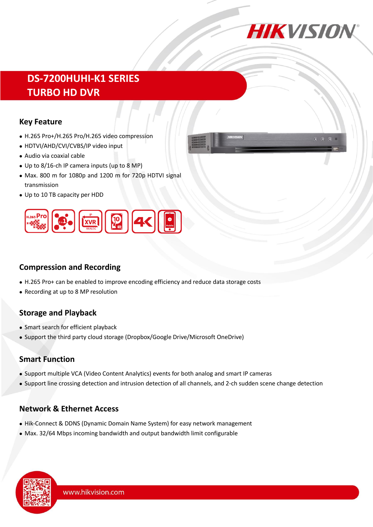

# **DS-7200HUHI-K1 SERIES TURBO HD DVR**

### **Key Feature**

- H.265 Pro+/H.265 Pro/H.265 video compression
- HDTVI/AHD/CVI/CVBS/IP video input
- Audio via coaxial cable
- Up to 8/16-ch IP camera inputs (up to 8 MP)
- Max. 800 m for 1080p and 1200 m for 720p HDTVI signal transmission
- Up to 10 TB capacity per HDD



### **Compression and Recording**

- H.265 Pro+ can be enabled to improve encoding efficiency and reduce data storage costs
- Recording at up to 8 MP resolution

# **Storage and Playback**

- Smart search for efficient playback
- Support the third party cloud storage (Dropbox/Google Drive/Microsoft OneDrive)

# **Smart Function**

- Support multiple VCA (Video Content Analytics) events for both analog and smart IP cameras
- Support line crossing detection and intrusion detection of all channels, and 2-ch sudden scene change detection

# **Network & Ethernet Access**

- Hik-Connect & DDNS (Dynamic Domain Name System) for easy network management
- Max. 32/64 Mbps incoming bandwidth and output bandwidth limit configurable

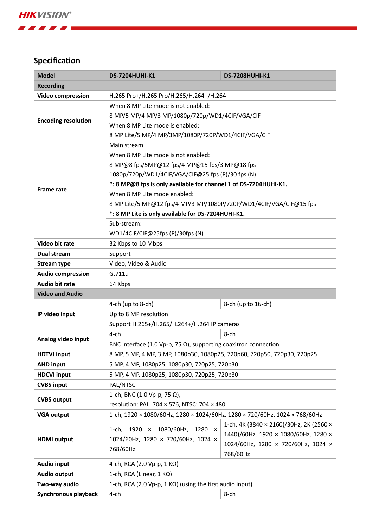1 2 3 4 3 4

# **Specification**

| <b>Model</b>               | <b>DS-7204HUHI-K1</b>                                                      | <b>DS-7208HUHI-K1</b>                   |  |  |  |
|----------------------------|----------------------------------------------------------------------------|-----------------------------------------|--|--|--|
| <b>Recording</b>           |                                                                            |                                         |  |  |  |
| <b>Video compression</b>   | H.265 Pro+/H.265 Pro/H.265/H.264+/H.264                                    |                                         |  |  |  |
|                            | When 8 MP Lite mode is not enabled:                                        |                                         |  |  |  |
|                            | 8 MP/5 MP/4 MP/3 MP/1080p/720p/WD1/4CIF/VGA/CIF                            |                                         |  |  |  |
| <b>Encoding resolution</b> | When 8 MP Lite mode is enabled:                                            |                                         |  |  |  |
|                            | 8 MP Lite/5 MP/4 MP/3MP/1080P/720P/WD1/4CIF/VGA/CIF                        |                                         |  |  |  |
|                            | Main stream:                                                               |                                         |  |  |  |
| <b>Frame rate</b>          | When 8 MP Lite mode is not enabled:                                        |                                         |  |  |  |
|                            | 8 MP@8 fps/5MP@12 fps/4 MP@15 fps/3 MP@18 fps                              |                                         |  |  |  |
|                            | 1080p/720p/WD1/4CIF/VGA/CIF@25 fps (P)/30 fps (N)                          |                                         |  |  |  |
|                            | *: 8 MP@8 fps is only available for channel 1 of DS-7204HUHI-K1.           |                                         |  |  |  |
|                            | When 8 MP Lite mode enabled:                                               |                                         |  |  |  |
|                            | 8 MP Lite/5 MP@12 fps/4 MP/3 MP/1080P/720P/WD1/4CIF/VGA/CIF@15 fps         |                                         |  |  |  |
|                            | *: 8 MP Lite is only available for DS-7204HUHI-K1.                         |                                         |  |  |  |
|                            | Sub-stream:                                                                |                                         |  |  |  |
|                            | WD1/4CIF/CIF@25fps (P)/30fps (N)                                           |                                         |  |  |  |
| Video bit rate             | 32 Kbps to 10 Mbps                                                         |                                         |  |  |  |
| Dual stream                | Support                                                                    |                                         |  |  |  |
| <b>Stream type</b>         | Video, Video & Audio                                                       |                                         |  |  |  |
| <b>Audio compression</b>   | G.711u                                                                     |                                         |  |  |  |
| <b>Audio bit rate</b>      | 64 Kbps                                                                    |                                         |  |  |  |
| <b>Video and Audio</b>     |                                                                            |                                         |  |  |  |
|                            | 4-ch (up to 8-ch)                                                          | 8-ch (up to 16-ch)                      |  |  |  |
| IP video input             | Up to 8 MP resolution                                                      |                                         |  |  |  |
|                            | Support H.265+/H.265/H.264+/H.264 IP cameras                               |                                         |  |  |  |
|                            | $4$ -ch                                                                    | 8-ch                                    |  |  |  |
| Analog video input         | BNC interface (1.0 Vp-p, 75 $\Omega$ ), supporting coaxitron connection    |                                         |  |  |  |
| <b>HDTVI input</b>         | 8 MP, 5 MP, 4 MP, 3 MP, 1080p30, 1080p25, 720p60, 720p50, 720p30, 720p25   |                                         |  |  |  |
| <b>AHD input</b>           | 5 MP, 4 MP, 1080p25, 1080p30, 720p25, 720p30                               |                                         |  |  |  |
| <b>HDCVI input</b>         | 5 MP, 4 MP, 1080p25, 1080p30, 720p25, 720p30                               |                                         |  |  |  |
| <b>CVBS input</b>          | PAL/NTSC                                                                   |                                         |  |  |  |
|                            | 1-ch, BNC (1.0 Vp-p, 75 Ω),                                                |                                         |  |  |  |
| <b>CVBS output</b>         | resolution: PAL: 704 × 576, NTSC: 704 × 480                                |                                         |  |  |  |
| <b>VGA output</b>          | 1-ch, 1920 × 1080/60Hz, 1280 × 1024/60Hz, 1280 × 720/60Hz, 1024 × 768/60Hz |                                         |  |  |  |
|                            |                                                                            | 1-ch, 4K (3840 × 2160)/30Hz, 2K (2560 × |  |  |  |
|                            | 1-ch, 1920 × 1080/60Hz,<br>$1280 \times$                                   | 1440)/60Hz, 1920 × 1080/60Hz, 1280 ×    |  |  |  |
| <b>HDMI</b> output         | 1024/60Hz, 1280 × 720/60Hz, 1024 ×<br>768/60Hz                             | 1024/60Hz, 1280 × 720/60Hz, 1024 ×      |  |  |  |
|                            |                                                                            | 768/60Hz                                |  |  |  |
| <b>Audio input</b>         | 4-ch, RCA (2.0 Vp-p, 1 K $\Omega$ )                                        |                                         |  |  |  |
| <b>Audio output</b>        | 1-ch, RCA (Linear, $1 K\Omega$ )                                           |                                         |  |  |  |
| Two-way audio              | 1-ch, RCA (2.0 Vp-p, 1 K $\Omega$ ) (using the first audio input)          |                                         |  |  |  |
| Synchronous playback       | 4-ch                                                                       | 8-ch                                    |  |  |  |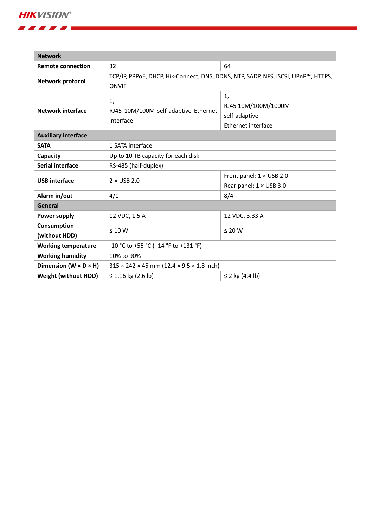**HIKVISION®** 

. . . . .

| <b>Network</b>                      |                                                                                   |                                 |  |  |  |
|-------------------------------------|-----------------------------------------------------------------------------------|---------------------------------|--|--|--|
| <b>Remote connection</b>            | 32                                                                                | 64                              |  |  |  |
| Network protocol                    | TCP/IP, PPPoE, DHCP, Hik-Connect, DNS, DDNS, NTP, SADP, NFS, iSCSI, UPnP™, HTTPS, |                                 |  |  |  |
|                                     | <b>ONVIF</b>                                                                      |                                 |  |  |  |
| <b>Network interface</b>            | 1,                                                                                | 1,                              |  |  |  |
|                                     | RJ45 10M/100M self-adaptive Ethernet<br>interface                                 | RJ45 10M/100M/1000M             |  |  |  |
|                                     |                                                                                   | self-adaptive                   |  |  |  |
|                                     |                                                                                   | Ethernet interface              |  |  |  |
| <b>Auxiliary interface</b>          |                                                                                   |                                 |  |  |  |
| <b>SATA</b>                         | 1 SATA interface                                                                  |                                 |  |  |  |
| Capacity                            | Up to 10 TB capacity for each disk                                                |                                 |  |  |  |
| <b>Serial interface</b>             | RS-485 (half-duplex)                                                              |                                 |  |  |  |
| <b>USB</b> interface                | $2 \times$ USB 2.0                                                                | Front panel: $1 \times$ USB 2.0 |  |  |  |
|                                     |                                                                                   | Rear panel: 1 × USB 3.0         |  |  |  |
| Alarm in/out                        | 4/1                                                                               | 8/4                             |  |  |  |
| General                             |                                                                                   |                                 |  |  |  |
| Power supply                        | 12 VDC, 1.5 A                                                                     | 12 VDC, 3.33 A                  |  |  |  |
| Consumption                         | $\leq 10 W$                                                                       | $\leq 20$ W                     |  |  |  |
| (without HDD)                       |                                                                                   |                                 |  |  |  |
| <b>Working temperature</b>          | -10 °C to +55 °C (+14 °F to +131 °F)                                              |                                 |  |  |  |
| <b>Working humidity</b>             | 10% to 90%                                                                        |                                 |  |  |  |
| Dimension ( $W \times D \times H$ ) | $315 \times 242 \times 45$ mm (12.4 $\times$ 9.5 $\times$ 1.8 inch)               |                                 |  |  |  |
| <b>Weight (without HDD)</b>         | $\leq$ 1.16 kg (2.6 lb)                                                           | ≤ 2 kg $(4.4 \text{ lb})$       |  |  |  |